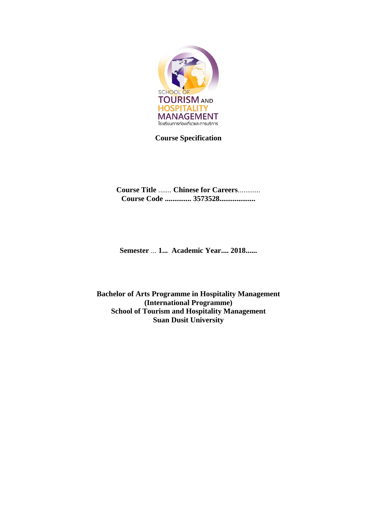

**Course Specification**

**Course Title** ....... **Chinese for Careers**............ **Course Code .............. 3573528...................**

**Semester** ... **1... Academic Year.... 2018......** 

**Bachelor of Arts Programme in Hospitality Management (International Programme) School of Tourism and Hospitality Management Suan Dusit University**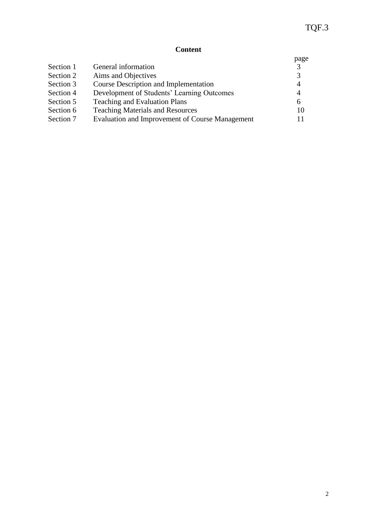# **Content**

|           |                                                 | page           |
|-----------|-------------------------------------------------|----------------|
| Section 1 | General information                             | 3              |
| Section 2 | Aims and Objectives                             | 3              |
| Section 3 | <b>Course Description and Implementation</b>    | $\overline{4}$ |
| Section 4 | Development of Students' Learning Outcomes      | $\overline{4}$ |
| Section 5 | <b>Teaching and Evaluation Plans</b>            | 6              |
| Section 6 | <b>Teaching Materials and Resources</b>         | 10             |
| Section 7 | Evaluation and Improvement of Course Management | 11             |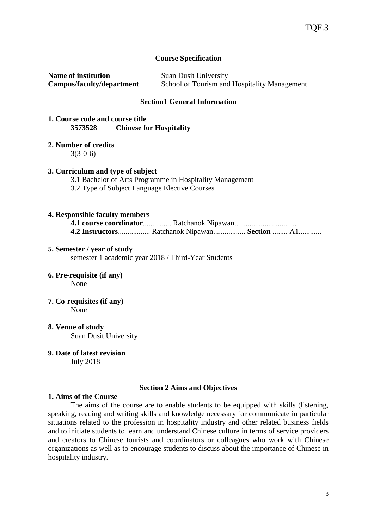#### **Course Specification**

**Name of institution** Suan Dusit University **Campus/faculty/department** School of Tourism and Hospitality Management

#### **Section1 General Information**

#### **1. Course code and course title 3573528 Chinese for Hospitality**

#### **2. Number of credits**

3(3-0-6)

#### **3. Curriculum and type of subject**

3.1 Bachelor of Arts Programme in Hospitality Management

3.2 Type of Subject Language Elective Courses

#### **4. Responsible faculty members**

**4.1 course coordinator**............... Ratchanok Nipawan................................. **4.2 Instructors**................. Ratchanok Nipawan................. **Section** ........ A1............

#### **5. Semester / year of study**

semester 1 academic year 2018 / Third-Year Students

## **6. Pre-requisite (if any)**

None

**7. Co-requisites (if any)**

None

- **8. Venue of study** Suan Dusit University
- **9. Date of latest revision**

July 2018

#### **Section 2 Aims and Objectives**

#### **1. Aims of the Course**

The aims of the course are to enable students to be equipped with skills (listening, speaking, reading and writing skills and knowledge necessary for communicate in particular situations related to the profession in hospitality industry and other related business fields and to initiate students to learn and understand Chinese culture in terms of service providers and creators to Chinese tourists and coordinators or colleagues who work with Chinese organizations as well as to encourage students to discuss about the importance of Chinese in hospitality industry.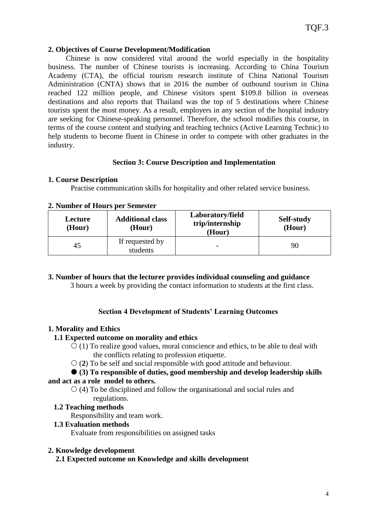#### **2. Objectives of Course Development/Modification**

Chinese is now considered vital around the world especially in the hospitality business. The number of Chinese tourists is increasing. According to China Tourism Academy (CTA), the official tourism research institute of China National Tourism Administration (CNTA) shows that in 2016 the number of outbound tourism in China reached 122 million people, and Chinese visitors spent \$109.8 billion in overseas destinations and also reports that Thailand was the top of 5 destinations where Chinese tourists spent the most money. As a result, employers in any section of the hospital industry are seeking for Chinese-speaking personnel. Therefore, the school modifies this course, in terms of the course content and studying and teaching technics (Active Learning Technic) to help students to become fluent in Chinese in order to compete with other graduates in the industry.

#### **Section 3: Course Description and Implementation**

## **1. Course Description**

Practise communication skills for hospitality and other related service business.

| Lecture<br>(Hour) | <b>Additional class</b><br>(Hour) | Laboratory/field<br>trip/internship<br>(Hour) | Self-study<br>(Hour) |
|-------------------|-----------------------------------|-----------------------------------------------|----------------------|
| 45                | If requested by<br>students       |                                               | 90                   |

#### **2. Number of Hours per Semester**

**3. Number of hours that the lecturer provides individual counseling and guidance**

3 hours a week by providing the contact information to students at the first class.

## **Section 4 Development of Students' Learning Outcomes**

#### **1. Morality and Ethics**

#### **1.1 Expected outcome on morality and ethics**

- $(1)$  To realize good values, moral conscience and ethics, to be able to deal with the conflicts relating to profession etiquette.
- (**2**) To be self and social responsible with good attitude and behaviour.

# **(3) To responsible of duties, good membership and develop leadership skills**

## **and act as a role model to others.**

 $\circ$  (4) To be disciplined and follow the organisational and social rules and regulations.

#### **1.2 Teaching methods**

Responsibility and team work.

#### **1.3 Evaluation methods**

Evaluate from responsibilities on assigned tasks

#### **2. Knowledge development**

**2.1 Expected outcome on Knowledge and skills development**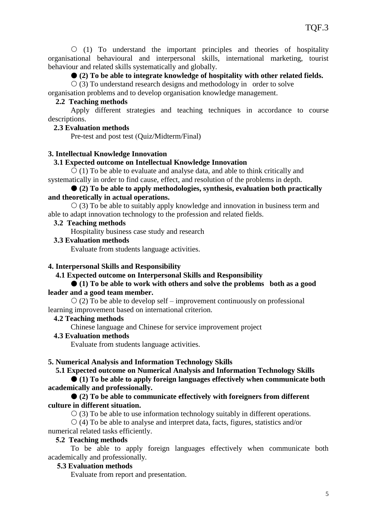$(1)$  To understand the important principles and theories of hospitality organisational behavioural and interpersonal skills, international marketing, tourist behaviour and related skills systematically and globally.

#### **(2) To be able to integrate knowledge of hospitality with other related fields.**

 $\circ$  (3) To understand research designs and methodology in order to solve

organisation problems and to develop organisation knowledge management.

#### **2.2 Teaching methods**

Apply different strategies and teaching techniques in accordance to course descriptions.

#### **2.3 Evaluation methods**

Pre-test and post test (Quiz/Midterm/Final)

#### **3. Intellectual Knowledge Innovation**

#### **3.1 Expected outcome on Intellectual Knowledge Innovation**

 $\circ$  (1) To be able to evaluate and analyse data, and able to think critically and systematically in order to find cause, effect, and resolution of the problems in depth.

#### **(2) To be able to apply methodologies, synthesis, evaluation both practically and theoretically in actual operations.**

 $\circ$  (3) To be able to suitably apply knowledge and innovation in business term and able to adapt innovation technology to the profession and related fields.

#### **3.2 Teaching methods**

Hospitality business case study and research

#### **3.3 Evaluation methods**

Evaluate from students language activities.

#### **4. Interpersonal Skills and Responsibility**

 **4.1 Expected outcome on Interpersonal Skills and Responsibility**

#### **(1) To be able to work with others and solve the problems both as a good leader and a good team member.**

 $\circ$  (2) To be able to develop self – improvement continuously on professional learning improvement based on international criterion.

## **4.2 Teaching methods**

Chinese language and Chinese for service improvement project

#### **4.3 Evaluation methods**

Evaluate from students language activities.

#### **5. Numerical Analysis and Information Technology Skills**

 **5.1 Expected outcome on Numerical Analysis and Information Technology Skills**

 **(1) To be able to apply foreign languages effectively when communicate both academically and professionally.**

#### **(2) To be able to communicate effectively with foreigners from different culture in different situation.**

 $\circ$  (3) To be able to use information technology suitably in different operations.

 $\circ$  (4) To be able to analyse and interpret data, facts, figures, statistics and/or numerical related tasks efficiently.

#### **5.2 Teaching methods**

To be able to apply foreign languages effectively when communicate both academically and professionally.

#### **5.3 Evaluation methods**

Evaluate from report and presentation.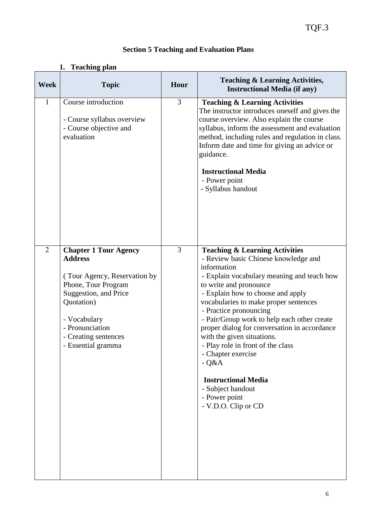|                | 1. Teaching plan                                                                                                                                                                                                              |      |                                                                                                                                                                                                                                                                                                                                                                                                                                                                                                                                                                               |
|----------------|-------------------------------------------------------------------------------------------------------------------------------------------------------------------------------------------------------------------------------|------|-------------------------------------------------------------------------------------------------------------------------------------------------------------------------------------------------------------------------------------------------------------------------------------------------------------------------------------------------------------------------------------------------------------------------------------------------------------------------------------------------------------------------------------------------------------------------------|
| <b>Week</b>    | <b>Topic</b>                                                                                                                                                                                                                  | Hour | <b>Teaching &amp; Learning Activities,</b><br><b>Instructional Media (if any)</b>                                                                                                                                                                                                                                                                                                                                                                                                                                                                                             |
| $\mathbf{1}$   | Course introduction<br>- Course syllabus overview<br>- Course objective and<br>evaluation                                                                                                                                     | 3    | <b>Teaching &amp; Learning Activities</b><br>The instructor introduces oneself and gives the<br>course overview. Also explain the course<br>syllabus, inform the assessment and evaluation<br>method, including rules and regulation in class.<br>Inform date and time for giving an advice or<br>guidance.<br><b>Instructional Media</b><br>- Power point<br>- Syllabus handout                                                                                                                                                                                              |
| $\overline{2}$ | <b>Chapter 1 Tour Agency</b><br><b>Address</b><br>(Tour Agency, Reservation by<br>Phone, Tour Program<br>Suggestion, and Price<br>Quotation)<br>- Vocabulary<br>- Pronunciation<br>- Creating sentences<br>- Essential gramma | 3    | <b>Teaching &amp; Learning Activities</b><br>- Review basic Chinese knowledge and<br>information<br>- Explain vocabulary meaning and teach how<br>to write and pronounce<br>- Explain how to choose and apply<br>vocabularies to make proper sentences<br>- Practice pronouncing<br>- Pair/Group work to help each other create<br>proper dialog for conversation in accordance<br>with the given situations.<br>- Play role in front of the class<br>- Chapter exercise<br>$-Q&A$<br><b>Instructional Media</b><br>- Subject handout<br>- Power point<br>- V.D.O. Clip or CD |

# **Section 5 Teaching and Evaluation Plans**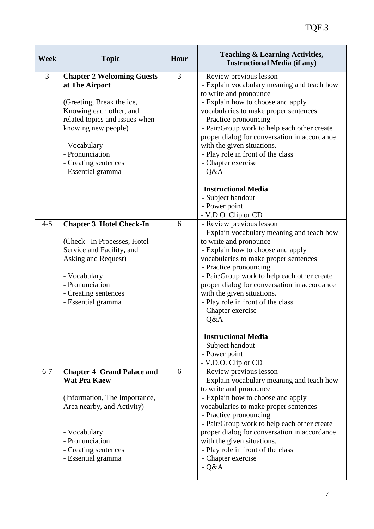| <b>Week</b> | <b>Topic</b>                                                                                                                                                                                                                                          | Hour | <b>Teaching &amp; Learning Activities,</b><br><b>Instructional Media (if any)</b>                                                                                                                                                                                                                                                                                                                                                        |
|-------------|-------------------------------------------------------------------------------------------------------------------------------------------------------------------------------------------------------------------------------------------------------|------|------------------------------------------------------------------------------------------------------------------------------------------------------------------------------------------------------------------------------------------------------------------------------------------------------------------------------------------------------------------------------------------------------------------------------------------|
| 3           | <b>Chapter 2 Welcoming Guests</b><br>at The Airport<br>(Greeting, Break the ice,<br>Knowing each other, and<br>related topics and issues when<br>knowing new people)<br>- Vocabulary<br>- Pronunciation<br>- Creating sentences<br>- Essential gramma | 3    | - Review previous lesson<br>- Explain vocabulary meaning and teach how<br>to write and pronounce<br>- Explain how to choose and apply<br>vocabularies to make proper sentences<br>- Practice pronouncing<br>- Pair/Group work to help each other create<br>proper dialog for conversation in accordance<br>with the given situations.<br>- Play role in front of the class<br>- Chapter exercise<br>$-Q&A$                               |
|             |                                                                                                                                                                                                                                                       |      | <b>Instructional Media</b><br>- Subject handout<br>- Power point<br>- V.D.O. Clip or CD                                                                                                                                                                                                                                                                                                                                                  |
| $4 - 5$     | <b>Chapter 3 Hotel Check-In</b><br>(Check - In Processes, Hotel<br>Service and Facility, and<br>Asking and Request)<br>- Vocabulary<br>- Pronunciation<br>- Creating sentences<br>- Essential gramma                                                  | 6    | - Review previous lesson<br>- Explain vocabulary meaning and teach how<br>to write and pronounce<br>- Explain how to choose and apply<br>vocabularies to make proper sentences<br>- Practice pronouncing<br>- Pair/Group work to help each other create<br>proper dialog for conversation in accordance<br>with the given situations.<br>- Play role in front of the class<br>- Chapter exercise<br>$-Q&A$<br><b>Instructional Media</b> |
|             |                                                                                                                                                                                                                                                       |      | - Subject handout<br>- Power point<br>- V.D.O. Clip or CD                                                                                                                                                                                                                                                                                                                                                                                |
| $6 - 7$     | <b>Chapter 4 Grand Palace and</b><br><b>Wat Pra Kaew</b><br>(Information, The Importance,<br>Area nearby, and Activity)<br>- Vocabulary<br>- Pronunciation<br>- Creating sentences<br>- Essential gramma                                              | 6    | - Review previous lesson<br>- Explain vocabulary meaning and teach how<br>to write and pronounce<br>- Explain how to choose and apply<br>vocabularies to make proper sentences<br>- Practice pronouncing<br>- Pair/Group work to help each other create<br>proper dialog for conversation in accordance<br>with the given situations.<br>- Play role in front of the class<br>- Chapter exercise<br>$-Q&A$                               |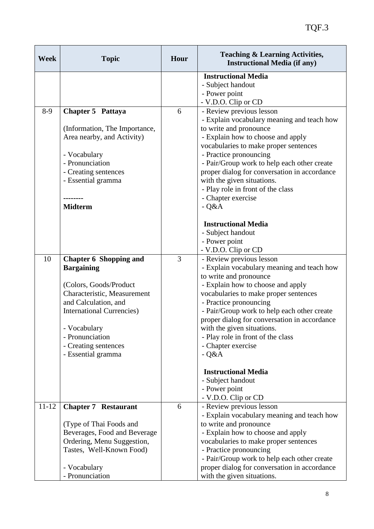| <b>Week</b> | <b>Topic</b>                      | Hour | <b>Teaching &amp; Learning Activities,</b><br><b>Instructional Media (if any)</b>           |
|-------------|-----------------------------------|------|---------------------------------------------------------------------------------------------|
|             |                                   |      | <b>Instructional Media</b>                                                                  |
|             |                                   |      | - Subject handout                                                                           |
|             |                                   |      | - Power point                                                                               |
| $8-9$       |                                   | 6    | - V.D.O. Clip or CD                                                                         |
|             | Chapter 5 Pattaya                 |      | - Review previous lesson<br>- Explain vocabulary meaning and teach how                      |
|             | (Information, The Importance,     |      | to write and pronounce                                                                      |
|             | Area nearby, and Activity)        |      | - Explain how to choose and apply                                                           |
|             |                                   |      | vocabularies to make proper sentences                                                       |
|             | - Vocabulary                      |      | - Practice pronouncing                                                                      |
|             | - Pronunciation                   |      | - Pair/Group work to help each other create                                                 |
|             | - Creating sentences              |      | proper dialog for conversation in accordance                                                |
|             | - Essential gramma                |      | with the given situations.                                                                  |
|             |                                   |      | - Play role in front of the class                                                           |
|             |                                   |      | - Chapter exercise                                                                          |
|             | <b>Midterm</b>                    |      | $-Q&A$                                                                                      |
|             |                                   |      | <b>Instructional Media</b>                                                                  |
|             |                                   |      | - Subject handout                                                                           |
|             |                                   |      | - Power point                                                                               |
|             |                                   |      | - V.D.O. Clip or CD                                                                         |
| 10          | <b>Chapter 6 Shopping and</b>     | 3    | - Review previous lesson                                                                    |
|             | <b>Bargaining</b>                 |      | - Explain vocabulary meaning and teach how                                                  |
|             |                                   |      | to write and pronounce                                                                      |
|             | (Colors, Goods/Product            |      | - Explain how to choose and apply                                                           |
|             | Characteristic, Measurement       |      | vocabularies to make proper sentences                                                       |
|             | and Calculation, and              |      | - Practice pronouncing                                                                      |
|             | <b>International Currencies</b> ) |      | - Pair/Group work to help each other create                                                 |
|             |                                   |      | proper dialog for conversation in accordance                                                |
|             | Vocabulary                        |      | with the given situations.                                                                  |
|             | - Pronunciation                   |      | - Play role in front of the class                                                           |
|             | - Creating sentences              |      | - Chapter exercise                                                                          |
|             | - Essential gramma                |      | $-Q&A$                                                                                      |
|             |                                   |      | <b>Instructional Media</b>                                                                  |
|             |                                   |      | - Subject handout                                                                           |
|             |                                   |      | - Power point                                                                               |
|             |                                   |      | - V.D.O. Clip or CD                                                                         |
| $11 - 12$   | <b>Chapter 7 Restaurant</b>       | 6    | - Review previous lesson                                                                    |
|             |                                   |      | - Explain vocabulary meaning and teach how                                                  |
|             | (Type of Thai Foods and           |      | to write and pronounce                                                                      |
|             | Beverages, Food and Beverage      |      | - Explain how to choose and apply                                                           |
|             | Ordering, Menu Suggestion,        |      | vocabularies to make proper sentences                                                       |
|             | Tastes, Well-Known Food)          |      | - Practice pronouncing                                                                      |
|             | - Vocabulary                      |      | - Pair/Group work to help each other create<br>proper dialog for conversation in accordance |
|             | - Pronunciation                   |      | with the given situations.                                                                  |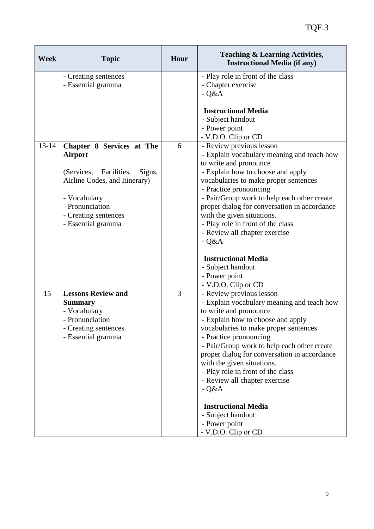| <b>Week</b> | <b>Topic</b>                                                                                                                                                                                      | Hour           | <b>Teaching &amp; Learning Activities,</b><br><b>Instructional Media (if any)</b>                                                                                                                                                                                                                                                                                                                                     |
|-------------|---------------------------------------------------------------------------------------------------------------------------------------------------------------------------------------------------|----------------|-----------------------------------------------------------------------------------------------------------------------------------------------------------------------------------------------------------------------------------------------------------------------------------------------------------------------------------------------------------------------------------------------------------------------|
|             | - Creating sentences<br>- Essential gramma                                                                                                                                                        |                | - Play role in front of the class<br>- Chapter exercise<br>$-Q&A$                                                                                                                                                                                                                                                                                                                                                     |
|             |                                                                                                                                                                                                   |                | <b>Instructional Media</b><br>- Subject handout<br>- Power point<br>- V.D.O. Clip or CD                                                                                                                                                                                                                                                                                                                               |
| $13 - 14$   | Chapter 8 Services at The<br><b>Airport</b><br>(Services, Facilities,<br>Signs,<br>Airline Codes, and Itinerary)<br>- Vocabulary<br>- Pronunciation<br>- Creating sentences<br>- Essential gramma | 6              | - Review previous lesson<br>- Explain vocabulary meaning and teach how<br>to write and pronounce<br>- Explain how to choose and apply<br>vocabularies to make proper sentences<br>- Practice pronouncing<br>- Pair/Group work to help each other create<br>proper dialog for conversation in accordance<br>with the given situations.<br>- Play role in front of the class<br>- Review all chapter exercise<br>$-Q&A$ |
|             |                                                                                                                                                                                                   |                | <b>Instructional Media</b><br>- Subject handout<br>- Power point<br>- V.D.O. Clip or CD                                                                                                                                                                                                                                                                                                                               |
| 15          | <b>Lessons Review and</b><br><b>Summary</b><br>- Vocabulary<br>- Pronunciation<br>- Creating sentences<br>- Essential gramma                                                                      | $\overline{3}$ | - Review previous lesson<br>- Explain vocabulary meaning and teach how<br>to write and pronounce<br>- Explain how to choose and apply<br>vocabularies to make proper sentences<br>- Practice pronouncing<br>- Pair/Group work to help each other create<br>proper dialog for conversation in accordance<br>with the given situations.<br>- Play role in front of the class<br>- Review all chapter exercise<br>$-Q&A$ |
|             |                                                                                                                                                                                                   |                | <b>Instructional Media</b><br>- Subject handout<br>- Power point<br>- V.D.O. Clip or CD                                                                                                                                                                                                                                                                                                                               |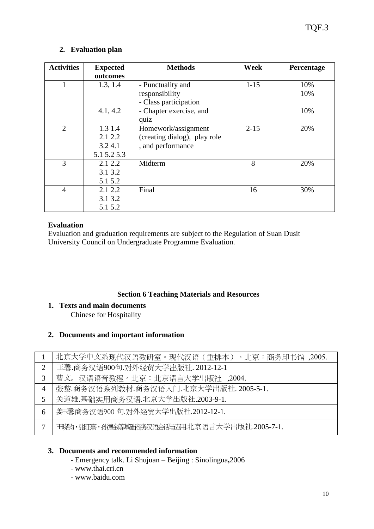## **2. Evaluation plan**

| <b>Activities</b> | <b>Expected</b> | <b>Methods</b>               | Week     | Percentage |
|-------------------|-----------------|------------------------------|----------|------------|
|                   | outcomes        |                              |          |            |
|                   | 1.3, 1.4        | - Punctuality and            | $1 - 15$ | 10%        |
|                   |                 | responsibility               |          | 10%        |
|                   |                 | - Class participation        |          |            |
|                   | 4.1, 4.2        | - Chapter exercise, and      |          | 10%        |
|                   |                 | quiz                         |          |            |
| $\overline{2}$    | 1.3 1.4         | Homework/assignment          | $2 - 15$ | 20%        |
|                   | 2.1 2.2         | (creating dialog), play role |          |            |
|                   | 3.24.1          | , and performance            |          |            |
|                   | 5.1 5.2 5.3     |                              |          |            |
| 3                 | 2.1 2.2         | Midterm                      | 8        | 20%        |
|                   | 3.1 3.2         |                              |          |            |
|                   | 5.1 5.2         |                              |          |            |
| 4                 | 2.1 2.2         | Final                        | 16       | 30%        |
|                   | 3.1 3.2         |                              |          |            |
|                   | 5.1 5.2         |                              |          |            |

## **Evaluation**

Evaluation and graduation requirements are subject to the Regulation of Suan Dusit University Council on Undergraduate Programme Evaluation.

## **Section 6 Teaching Materials and Resources**

- **1. Texts and main documents**  Chinese for Hospitality
- **2. Documents and important information**

|                | 北京大学中文系现代汉语教研室。现代汉语(重排本)。北京:商务印书馆, 2005.   |
|----------------|--------------------------------------------|
| $\overline{2}$ | 玉馨.商务汉语900句.对外经贸大学出版社. 2012-12-1           |
| 3              | 曹文。汉语语音教程。北京:北京语言大学出版社,2004.               |
| $\overline{4}$ | 张黎.商务汉语系列教材.商务汉语入门.北京大学出版社. 2005-5-1.      |
| 5              | 关道雄.基础实用商务汉语.北京大学出版社.2003-9-1.             |
| 6              | 姜玉馨商务汉语900句.对外经贸大学出版社.2012-12-1.           |
| 7              | 丑晓的,张旺熹,孙德金等基础商务汉语会话与应用北京语言大学出版社.2005-7-1. |

## **3. Documents and recommended information**

- Emergency talk. Li Shujuan Beijing : Sinolingua**,**2006
- [www.thai.cri.cn](http://www.thai.cri.cn/)
- [www.baidu.com](http://www.baidu.com/)